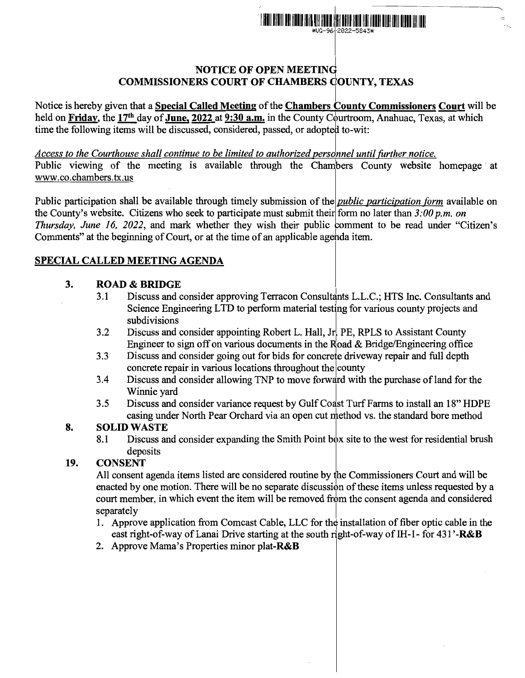

## NOTICE OF OPEN MEETING COMMISSIONERS COURT OF CHAMBERS COUNTY, TEXAS

Notice is hereby given that a Special Called Meeting of the Chambers County Commissioners Court will be held on Friday, the 17<sup>th</sup> day of June, 2022 at 9:30 a.m. in the County Courtroom, Anahuac, Texas, at which time the following items will be discussed, considered, passed, or adopted to-wit:

Access to the Courthouse shall continue to be limited to authorized personnel until further notice.

Public viewing of the meeting is available through the Chambers County website homepage at www.co.chambers.tx.us

Public participation shall be available through timely submission of the *public participation form* available on the County's website. Citizens who seek to participate must submit their form no later than  $3:00 p.m.$  on *Thursday, June 16, 2022,* and mark whether they wish their public comment to be read under "Citizen's Comments" at the beginning of Court, or at the time of an applicable agehda item.

## SPECIAL CALLED MEETING AGENDA

## 3. ROAD & BRIDGE

- 3.1 Discuss and consider approving Terracon Consultants L.L.C.; HTS Inc. Consultants and <sup>I</sup> Science Engineering LTD to perform material testing for various county projects and subdivisions
- 3.2 Discuss and consider appointing Robert L. Hall, Jr. PE, RPLS to Assistant County Engineer to sign off on various documents in the Road & Bridge/Engineering office
- 3.3 Discuss and consider going out for bids for concrete driveway repair and full depth concrete repair in various locations throughout the county
- 3.4 Discuss and consider allowing TNP to move forward with the purchase of land for the Winnie yard Winnie yard **I**
- 3.5 Discuss and consider variance request by Gulf Coast Turf Farms to install an 18" HDPE casing under North Pear Orchard via an open cut method vs. the standard bore method

# 8. SOLID WASTE

8.1 Discuss and consider expanding the Smith Point box site to the west for residential brush WASTE<br>Discuss and consider expanding the Smith Point box site<br>deposits<br>ENT

## 19. CONSENT

All consent agenda items listed are considered routine by the Commissioners Court and will be enacted by one motion. There will be no separate discussion of these items unless requested by a court member, in which event the item will be removed from the consent agenda and considered separately

- 1. Approve application from Comcast Cable, LLC for the installation of fiber optic cable in the east right-of-way of Lanai Drive starting at the south right-of-way of IH-1- for 431'-R&B
- 2. Approve Mama's Properties minor plat-R&B